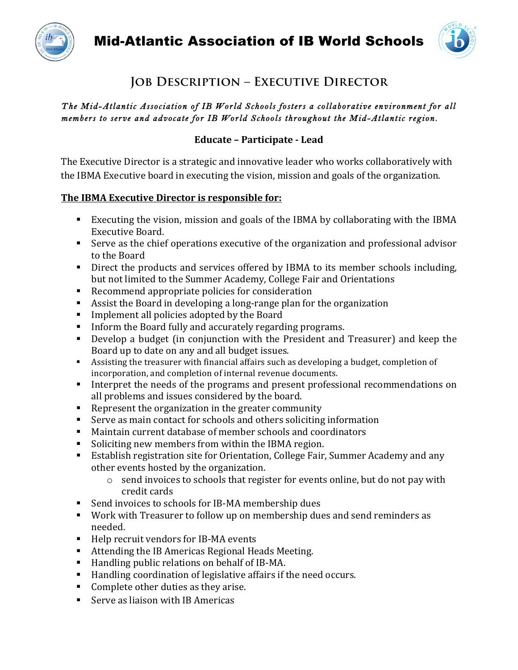



# **Job Description – Executive Director**

## *The Mid-Atlantic Association of IB World Schools fosters a collaborative environment for all members to serve and advocate for IB World Schools throughout the Mid-Atlantic region.*

## **Educate – Participate - Lead**

The Executive Director is a strategic and innovative leader who works collaboratively with the IBMA Executive board in executing the vision, mission and goals of the organization.

## **The IBMA Executive Director is responsible for:**

- Executing the vision, mission and goals of the IBMA by collaborating with the IBMA Executive Board.
- Serve as the chief operations executive of the organization and professional advisor to the Board
- Direct the products and services offered by IBMA to its member schools including, but not limited to the Summer Academy, College Fair and Orientations
- Recommend appropriate policies for consideration
- Assist the Board in developing a long-range plan for the organization
- Implement all policies adopted by the Board
- **•** Inform the Board fully and accurately regarding programs.
- Develop a budget (in conjunction with the President and Treasurer) and keep the Board up to date on any and all budget issues.
- Assisting the treasurer with financial affairs such as developing a budget, completion of incorporation, and completion of internal revenue documents.
- **•** Interpret the needs of the programs and present professional recommendations on all problems and issues considered by the board.
- Exercisent the organization in the greater community
- Serve as main contact for schools and others soliciting information
- Maintain current database of member schools and coordinators
- Soliciting new members from within the IBMA region.
- Establish registration site for Orientation, College Fair, Summer Academy and any other events hosted by the organization.
	- $\circ$  send invoices to schools that register for events online, but do not pay with credit cards
- Send invoices to schools for IB-MA membership dues
- Work with Treasurer to follow up on membership dues and send reminders as needed.
- Help recruit vendors for IB-MA events
- Attending the IB Americas Regional Heads Meeting.
- Handling public relations on behalf of IB-MA.
- $\blacksquare$  Handling coordination of legislative affairs if the need occurs.
- Complete other duties as they arise.
- Serve as liaison with IB Americas